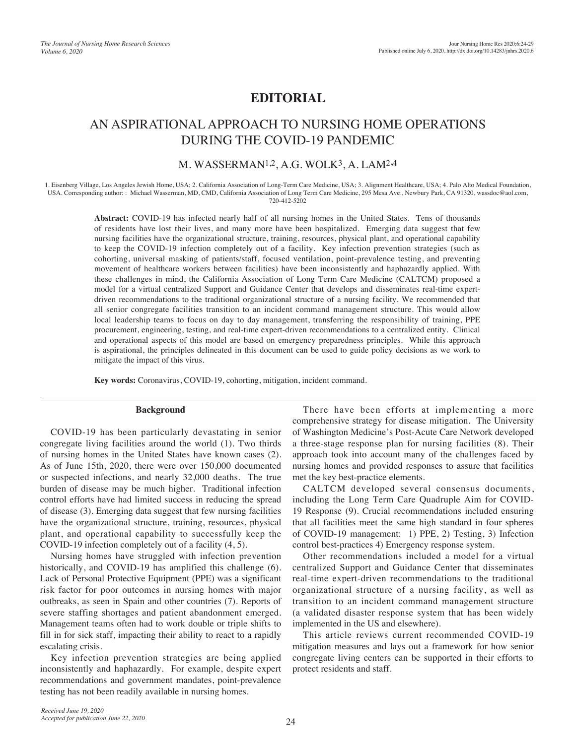## **EDITORIAL**

# AN ASPIRATIONAL APPROACH TO NURSING HOME OPERATIONS DURING THE COVID-19 PANDEMIC

## M. WASSERMAN<sup>1,2</sup>, A.G. WOLK<sup>3</sup>, A. LAM<sup>2,4</sup>

1. Eisenberg Village, Los Angeles Jewish Home, USA; 2. California Association of Long-Term Care Medicine, USA; 3. Alignment Healthcare, USA; 4. Palo Alto Medical Foundation, USA. Corresponding author: : Michael Wasserman, MD, CMD, California Association of Long Term Care Medicine, 295 Mesa Ave., Newbury Park, CA 91320, wassdoc@aol.com, 720-412-5202

> **Abstract:** COVID-19 has infected nearly half of all nursing homes in the United States. Tens of thousands of residents have lost their lives, and many more have been hospitalized. Emerging data suggest that few nursing facilities have the organizational structure, training, resources, physical plant, and operational capability to keep the COVID-19 infection completely out of a facility. Key infection prevention strategies (such as cohorting, universal masking of patients/staff, focused ventilation, point-prevalence testing, and preventing movement of healthcare workers between facilities) have been inconsistently and haphazardly applied. With these challenges in mind, the California Association of Long Term Care Medicine (CALTCM) proposed a model for a virtual centralized Support and Guidance Center that develops and disseminates real-time expertdriven recommendations to the traditional organizational structure of a nursing facility. We recommended that all senior congregate facilities transition to an incident command management structure. This would allow local leadership teams to focus on day to day management, transferring the responsibility of training, PPE procurement, engineering, testing, and real-time expert-driven recommendations to a centralized entity. Clinical and operational aspects of this model are based on emergency preparedness principles. While this approach is aspirational, the principles delineated in this document can be used to guide policy decisions as we work to mitigate the impact of this virus.

**Key words:** Coronavirus, COVID-19, cohorting, mitigation, incident command.

#### **Background**

COVID-19 has been particularly devastating in senior congregate living facilities around the world (1). Two thirds of nursing homes in the United States have known cases (2). As of June 15th, 2020, there were over 150,000 documented or suspected infections, and nearly 32,000 deaths. The true burden of disease may be much higher. Traditional infection control efforts have had limited success in reducing the spread of disease (3). Emerging data suggest that few nursing facilities have the organizational structure, training, resources, physical plant, and operational capability to successfully keep the COVID-19 infection completely out of a facility (4, 5).

Nursing homes have struggled with infection prevention historically, and COVID-19 has amplified this challenge (6). Lack of Personal Protective Equipment (PPE) was a significant risk factor for poor outcomes in nursing homes with major outbreaks, as seen in Spain and other countries (7). Reports of severe staffing shortages and patient abandonment emerged. Management teams often had to work double or triple shifts to fill in for sick staff, impacting their ability to react to a rapidly escalating crisis.

Key infection prevention strategies are being applied inconsistently and haphazardly. For example, despite expert recommendations and government mandates, point-prevalence testing has not been readily available in nursing homes.

There have been efforts at implementing a more comprehensive strategy for disease mitigation. The University of Washington Medicine's Post-Acute Care Network developed a three-stage response plan for nursing facilities (8). Their approach took into account many of the challenges faced by nursing homes and provided responses to assure that facilities met the key best-practice elements.

CALTCM developed several consensus documents, including the Long Term Care Quadruple Aim for COVID-19 Response (9). Crucial recommendations included ensuring that all facilities meet the same high standard in four spheres of COVID-19 management: 1) PPE, 2) Testing, 3) Infection control best-practices 4) Emergency response system.

Other recommendations included a model for a virtual centralized Support and Guidance Center that disseminates real-time expert-driven recommendations to the traditional organizational structure of a nursing facility, as well as transition to an incident command management structure (a validated disaster response system that has been widely implemented in the US and elsewhere).

This article reviews current recommended COVID-19 mitigation measures and lays out a framework for how senior congregate living centers can be supported in their efforts to protect residents and staff.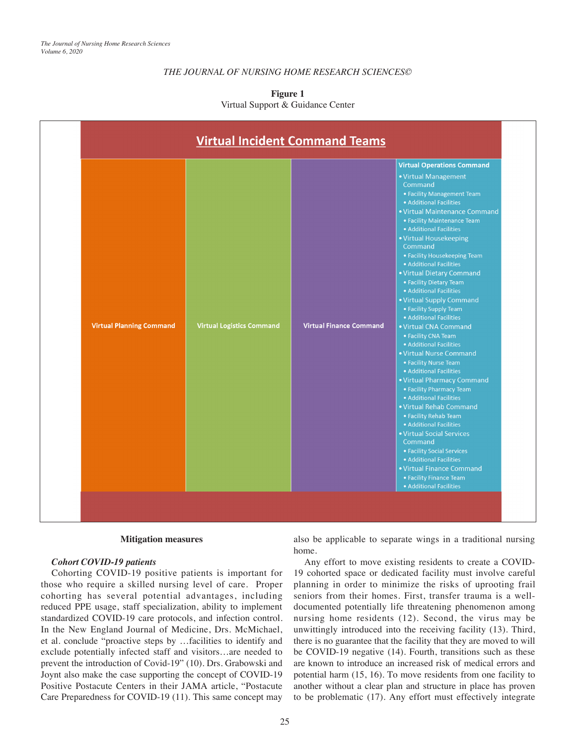## *THE JOURNAL OF NURSING HOME RESEARCH SCIENCES©*

|                                 | <b>Virtual Incident Command Teams</b> |                                | <b>Virtual Operations Command</b>                                                                                                                                                                                                                                                                                                                                                                                                                                                                                                                                                                                                                                                                                                                                                                                                                                                                                                                                         |
|---------------------------------|---------------------------------------|--------------------------------|---------------------------------------------------------------------------------------------------------------------------------------------------------------------------------------------------------------------------------------------------------------------------------------------------------------------------------------------------------------------------------------------------------------------------------------------------------------------------------------------------------------------------------------------------------------------------------------------------------------------------------------------------------------------------------------------------------------------------------------------------------------------------------------------------------------------------------------------------------------------------------------------------------------------------------------------------------------------------|
| <b>Virtual Planning Command</b> | <b>Virtual Logistics Command</b>      | <b>Virtual Finance Command</b> | • Virtual Management<br>Command<br>• Facility Management Team<br>• Additional Facilities<br>• Virtual Maintenance Command<br>• Facility Maintenance Team<br>• Additional Facilities<br>• Virtual Housekeeping<br>Command<br>• Facility Housekeeping Team<br>• Additional Facilities<br>• Virtual Dietary Command<br>• Facility Dietary Team<br>• Additional Facilities<br>• Virtual Supply Command<br>• Facility Supply Team<br>• Additional Facilities<br>• Virtual CNA Command<br>• Facility CNA Team<br>• Additional Facilities<br>• Virtual Nurse Command<br>• Facility Nurse Team<br>• Additional Facilities<br>• Virtual Pharmacy Command<br>• Facility Pharmacy Team<br>• Additional Facilities<br>• Virtual Rehab Command<br>• Facility Rehab Team<br>· Additional Facilities<br>• Virtual Social Services<br>Command<br>• Facility Social Services<br>• Additional Facilities<br>• Virtual Finance Command<br>• Facility Finance Team<br>• Additional Facilities |

#### **Figure 1** Virtual Support & Guidance Center

#### **Mitigation measures**

#### *Cohort COVID-19 patients*

Cohorting COVID-19 positive patients is important for those who require a skilled nursing level of care. Proper cohorting has several potential advantages, including reduced PPE usage, staff specialization, ability to implement standardized COVID-19 care protocols, and infection control. In the New England Journal of Medicine, Drs. McMichael, et al. conclude "proactive steps by …facilities to identify and exclude potentially infected staff and visitors…are needed to prevent the introduction of Covid-19" (10). Drs. Grabowski and Joynt also make the case supporting the concept of COVID-19 Positive Postacute Centers in their JAMA article, "Postacute Care Preparedness for COVID-19 (11). This same concept may

also be applicable to separate wings in a traditional nursing home.

Any effort to move existing residents to create a COVID-19 cohorted space or dedicated facility must involve careful planning in order to minimize the risks of uprooting frail seniors from their homes. First, transfer trauma is a welldocumented potentially life threatening phenomenon among nursing home residents (12). Second, the virus may be unwittingly introduced into the receiving facility (13). Third, there is no guarantee that the facility that they are moved to will be COVID-19 negative (14). Fourth, transitions such as these are known to introduce an increased risk of medical errors and potential harm (15, 16). To move residents from one facility to another without a clear plan and structure in place has proven to be problematic (17). Any effort must effectively integrate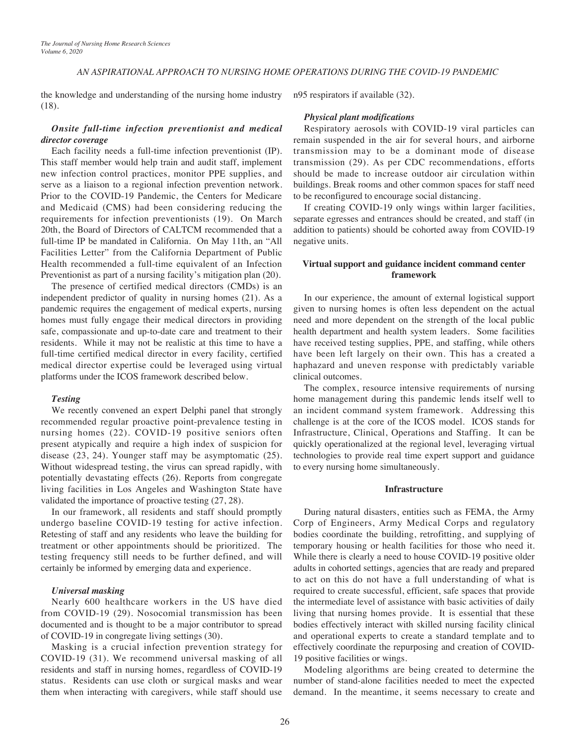## *AN ASPIRATIONAL APPROACH TO NURSING HOME OPERATIONS DURING THE COVID-19 PANDEMIC*

the knowledge and understanding of the nursing home industry (18).

## *Onsite full-time infection preventionist and medical director coverage*

Each facility needs a full-time infection preventionist (IP). This staff member would help train and audit staff, implement new infection control practices, monitor PPE supplies, and serve as a liaison to a regional infection prevention network. Prior to the COVID-19 Pandemic, the Centers for Medicare and Medicaid (CMS) had been considering reducing the requirements for infection preventionists (19). On March 20th, the Board of Directors of CALTCM recommended that a full-time IP be mandated in California. On May 11th, an "All Facilities Letter" from the California Department of Public Health recommended a full-time equivalent of an Infection Preventionist as part of a nursing facility's mitigation plan (20).

The presence of certified medical directors (CMDs) is an independent predictor of quality in nursing homes (21). As a pandemic requires the engagement of medical experts, nursing homes must fully engage their medical directors in providing safe, compassionate and up-to-date care and treatment to their residents. While it may not be realistic at this time to have a full-time certified medical director in every facility, certified medical director expertise could be leveraged using virtual platforms under the ICOS framework described below.

#### *Testing*

We recently convened an expert Delphi panel that strongly recommended regular proactive point-prevalence testing in nursing homes (22). COVID-19 positive seniors often present atypically and require a high index of suspicion for disease (23, 24). Younger staff may be asymptomatic (25). Without widespread testing, the virus can spread rapidly, with potentially devastating effects (26). Reports from congregate living facilities in Los Angeles and Washington State have validated the importance of proactive testing (27, 28).

In our framework, all residents and staff should promptly undergo baseline COVID-19 testing for active infection. Retesting of staff and any residents who leave the building for treatment or other appointments should be prioritized. The testing frequency still needs to be further defined, and will certainly be informed by emerging data and experience.

### *Universal masking*

Nearly 600 healthcare workers in the US have died from COVID-19 (29). Nosocomial transmission has been documented and is thought to be a major contributor to spread of COVID-19 in congregate living settings (30).

Masking is a crucial infection prevention strategy for COVID-19 (31). We recommend universal masking of all residents and staff in nursing homes, regardless of COVID-19 status. Residents can use cloth or surgical masks and wear them when interacting with caregivers, while staff should use

n95 respirators if available (32).

#### *Physical plant modifications*

Respiratory aerosols with COVID-19 viral particles can remain suspended in the air for several hours, and airborne transmission may to be a dominant mode of disease transmission (29). As per CDC recommendations, efforts should be made to increase outdoor air circulation within buildings. Break rooms and other common spaces for staff need to be reconfigured to encourage social distancing.

If creating COVID-19 only wings within larger facilities, separate egresses and entrances should be created, and staff (in addition to patients) should be cohorted away from COVID-19 negative units.

## **Virtual support and guidance incident command center framework**

In our experience, the amount of external logistical support given to nursing homes is often less dependent on the actual need and more dependent on the strength of the local public health department and health system leaders. Some facilities have received testing supplies, PPE, and staffing, while others have been left largely on their own. This has a created a haphazard and uneven response with predictably variable clinical outcomes.

The complex, resource intensive requirements of nursing home management during this pandemic lends itself well to an incident command system framework. Addressing this challenge is at the core of the ICOS model. ICOS stands for Infrastructure, Clinical, Operations and Staffing. It can be quickly operationalized at the regional level, leveraging virtual technologies to provide real time expert support and guidance to every nursing home simultaneously.

#### **Infrastructure**

During natural disasters, entities such as FEMA, the Army Corp of Engineers, Army Medical Corps and regulatory bodies coordinate the building, retrofitting, and supplying of temporary housing or health facilities for those who need it. While there is clearly a need to house COVID-19 positive older adults in cohorted settings, agencies that are ready and prepared to act on this do not have a full understanding of what is required to create successful, efficient, safe spaces that provide the intermediate level of assistance with basic activities of daily living that nursing homes provide. It is essential that these bodies effectively interact with skilled nursing facility clinical and operational experts to create a standard template and to effectively coordinate the repurposing and creation of COVID-19 positive facilities or wings.

Modeling algorithms are being created to determine the number of stand-alone facilities needed to meet the expected demand. In the meantime, it seems necessary to create and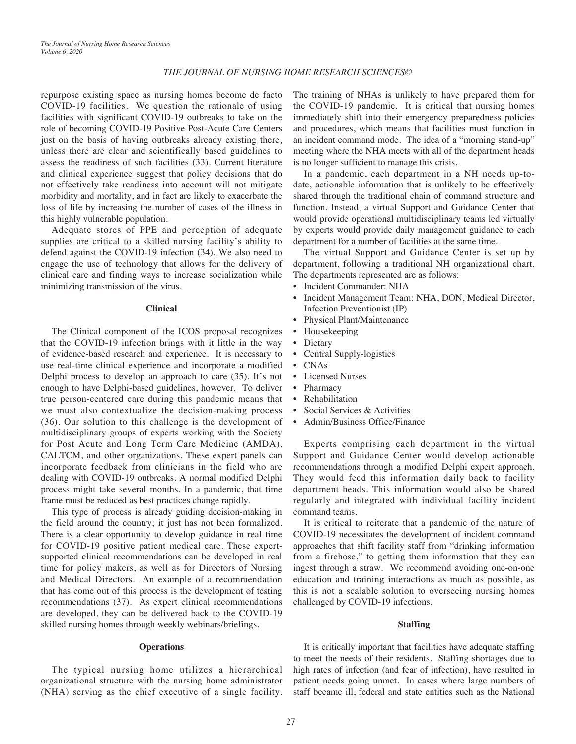#### *THE JOURNAL OF NURSING HOME RESEARCH SCIENCES©*

repurpose existing space as nursing homes become de facto COVID-19 facilities. We question the rationale of using facilities with significant COVID-19 outbreaks to take on the role of becoming COVID-19 Positive Post-Acute Care Centers just on the basis of having outbreaks already existing there, unless there are clear and scientifically based guidelines to assess the readiness of such facilities (33). Current literature and clinical experience suggest that policy decisions that do not effectively take readiness into account will not mitigate morbidity and mortality, and in fact are likely to exacerbate the loss of life by increasing the number of cases of the illness in this highly vulnerable population.

Adequate stores of PPE and perception of adequate supplies are critical to a skilled nursing facility's ability to defend against the COVID-19 infection (34). We also need to engage the use of technology that allows for the delivery of clinical care and finding ways to increase socialization while minimizing transmission of the virus.

#### **Clinical**

The Clinical component of the ICOS proposal recognizes that the COVID-19 infection brings with it little in the way of evidence-based research and experience. It is necessary to use real-time clinical experience and incorporate a modified Delphi process to develop an approach to care (35). It's not enough to have Delphi-based guidelines, however. To deliver true person-centered care during this pandemic means that we must also contextualize the decision-making process (36). Our solution to this challenge is the development of multidisciplinary groups of experts working with the Society for Post Acute and Long Term Care Medicine (AMDA), CALTCM, and other organizations. These expert panels can incorporate feedback from clinicians in the field who are dealing with COVID-19 outbreaks. A normal modified Delphi process might take several months. In a pandemic, that time frame must be reduced as best practices change rapidly.

This type of process is already guiding decision-making in the field around the country; it just has not been formalized. There is a clear opportunity to develop guidance in real time for COVID-19 positive patient medical care. These expertsupported clinical recommendations can be developed in real time for policy makers, as well as for Directors of Nursing and Medical Directors. An example of a recommendation that has come out of this process is the development of testing recommendations (37). As expert clinical recommendations are developed, they can be delivered back to the COVID-19 skilled nursing homes through weekly webinars/briefings.

#### **Operations**

The typical nursing home utilizes a hierarchical organizational structure with the nursing home administrator (NHA) serving as the chief executive of a single facility. The training of NHAs is unlikely to have prepared them for the COVID-19 pandemic. It is critical that nursing homes immediately shift into their emergency preparedness policies and procedures, which means that facilities must function in an incident command mode. The idea of a "morning stand-up" meeting where the NHA meets with all of the department heads is no longer sufficient to manage this crisis.

In a pandemic, each department in a NH needs up-todate, actionable information that is unlikely to be effectively shared through the traditional chain of command structure and function. Instead, a virtual Support and Guidance Center that would provide operational multidisciplinary teams led virtually by experts would provide daily management guidance to each department for a number of facilities at the same time.

The virtual Support and Guidance Center is set up by department, following a traditional NH organizational chart. The departments represented are as follows:

- Incident Commander: NHA
- Incident Management Team: NHA, DON, Medical Director, Infection Preventionist (IP)
- Physical Plant/Maintenance
- Housekeeping
- Dietary
- Central Supply-logistics
- CNAs
- **Licensed Nurses**
- Pharmacy
- **Rehabilitation**
- Social Services & Activities
- Admin/Business Office/Finance

Experts comprising each department in the virtual Support and Guidance Center would develop actionable recommendations through a modified Delphi expert approach. They would feed this information daily back to facility department heads. This information would also be shared regularly and integrated with individual facility incident command teams.

It is critical to reiterate that a pandemic of the nature of COVID-19 necessitates the development of incident command approaches that shift facility staff from "drinking information from a firehose," to getting them information that they can ingest through a straw. We recommend avoiding one-on-one education and training interactions as much as possible, as this is not a scalable solution to overseeing nursing homes challenged by COVID-19 infections.

#### **Staffing**

It is critically important that facilities have adequate staffing to meet the needs of their residents. Staffing shortages due to high rates of infection (and fear of infection), have resulted in patient needs going unmet. In cases where large numbers of staff became ill, federal and state entities such as the National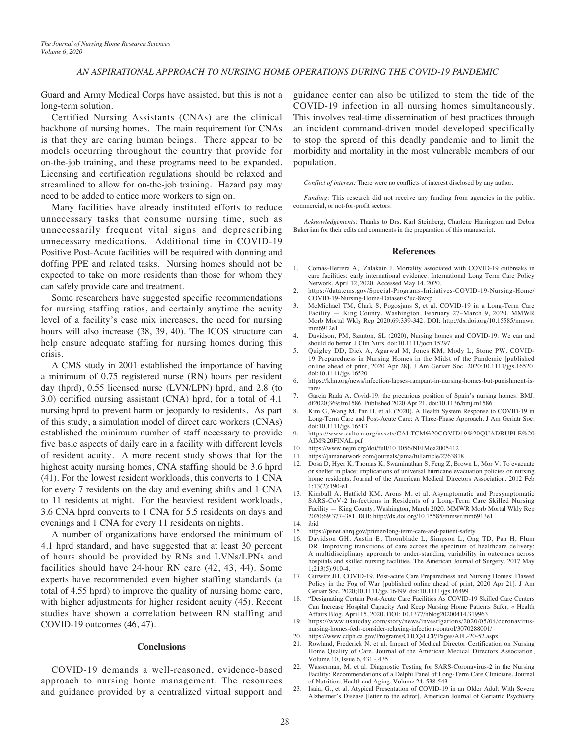#### *AN ASPIRATIONAL APPROACH TO NURSING HOME OPERATIONS DURING THE COVID-19 PANDEMIC*

Guard and Army Medical Corps have assisted, but this is not a long-term solution.

Certified Nursing Assistants (CNAs) are the clinical backbone of nursing homes. The main requirement for CNAs is that they are caring human beings. There appear to be models occurring throughout the country that provide for on-the-job training, and these programs need to be expanded. Licensing and certification regulations should be relaxed and streamlined to allow for on-the-job training. Hazard pay may need to be added to entice more workers to sign on.

Many facilities have already instituted efforts to reduce unnecessary tasks that consume nursing time, such as unnecessarily frequent vital signs and deprescribing unnecessary medications. Additional time in COVID-19 Positive Post-Acute facilities will be required with donning and doffing PPE and related tasks. Nursing homes should not be expected to take on more residents than those for whom they can safely provide care and treatment.

Some researchers have suggested specific recommendations for nursing staffing ratios, and certainly anytime the acuity level of a facility's case mix increases, the need for nursing hours will also increase (38, 39, 40). The ICOS structure can help ensure adequate staffing for nursing homes during this crisis.

A CMS study in 2001 established the importance of having a minimum of 0.75 registered nurse (RN) hours per resident day (hprd), 0.55 licensed nurse (LVN/LPN) hprd, and 2.8 (to 3.0) certified nursing assistant (CNA) hprd, for a total of 4.1 nursing hprd to prevent harm or jeopardy to residents. As part of this study, a simulation model of direct care workers (CNAs) established the minimum number of staff necessary to provide five basic aspects of daily care in a facility with different levels of resident acuity. A more recent study shows that for the highest acuity nursing homes, CNA staffing should be 3.6 hprd (41). For the lowest resident workloads, this converts to 1 CNA for every 7 residents on the day and evening shifts and 1 CNA to 11 residents at night. For the heaviest resident workloads, 3.6 CNA hprd converts to 1 CNA for 5.5 residents on days and evenings and 1 CNA for every 11 residents on nights.

A number of organizations have endorsed the minimum of 4.1 hprd standard, and have suggested that at least 30 percent of hours should be provided by RNs and LVNs/LPNs and facilities should have 24-hour RN care (42, 43, 44). Some experts have recommended even higher staffing standards (a total of 4.55 hprd) to improve the quality of nursing home care, with higher adjustments for higher resident acuity (45). Recent studies have shown a correlation between RN staffing and COVID-19 outcomes (46, 47).

#### **Conclusions**

COVID-19 demands a well-reasoned, evidence-based approach to nursing home management. The resources and guidance provided by a centralized virtual support and

guidance center can also be utilized to stem the tide of the COVID-19 infection in all nursing homes simultaneously. This involves real-time dissemination of best practices through an incident command-driven model developed specifically to stop the spread of this deadly pandemic and to limit the morbidity and mortality in the most vulnerable members of our population.

*Conflict of interest:* There were no conflicts of interest disclosed by any author.

*Funding:* This research did not receive any funding from agencies in the public, commercial, or not-for-profit sectors.

*Acknowledgements:* Thanks to Drs. Karl Steinberg, Charlene Harrington and Debra Bakerjian for their edits and comments in the preparation of this manuscript.

#### **References**

- 1. Comas-Herrera A, Zalakain J. Mortality associated with COVID-19 outbreaks in care facilities: early international evidence. International Long Term Care Policy Network. April 12, 2020. Accessed May 14, 2020.
- 2. https://data.cms.gov/Special-Programs-Initiatives-COVID-19-Nursing-Home/ COVID-19-Nursing-Home-Dataset/s2uc-8wxp
- 3. McMichael TM, Clark S, Pogosjans S, et al. COVID-19 in a Long-Term Care Facility — King County, Washington, February 27–March 9, 2020. MMWR Morb Mortal Wkly Rep 2020;69:339-342. DOI: http://dx.doi.org/10.15585/mmwr. mm6912e1
- 4. Davidson, PM, Szanton, SL (2020), Nursing homes and COVID-19: We can and should do better. J Clin Nurs. doi:10.1111/jocn.15297
- 5. Quigley DD, Dick A, Agarwal M, Jones KM, Mody L, Stone PW. COVID-19 Preparedness in Nursing Homes in the Midst of the Pandemic [published online ahead of print, 2020 Apr 28]. J Am Geriatr Soc. 2020;10.1111/jgs.16520. doi:10.1111/jgs.16520
- 6. https://khn.org/news/infection-lapses-rampant-in-nursing-homes-but-punishment-israre/
- 7. Garcia Rada A. Covid-19: the precarious position of Spain's nursing homes. BMJ. df2020;369:fm1586. Published 2020 Apr 21. doi:10.1136/bmj.m1586
- Kim G, Wang M, Pan H, et al. (2020), A Health System Response to COVID-19 in Long-Term Care and Post-Acute Care: A Three-Phase Approach. J Am Geriatr Soc. doi:10.1111/jgs.16513
- 9. https://www.caltcm.org/assets/CALTCM%20COVID19%20QUADRUPLE%20 AIM%20FINAL.pdf
- 10. https://www.nejm.org/doi/full/10.1056/NEJMoa2005412<br>11. https://jamanetwork.com/journals/jama/fullarticle/276381
- https://jamanetwork.com/journals/jama/fullarticle/2763818
- 12. Dosa D, Hyer K, Thomas K, Swaminathan S, Feng Z, Brown L, Mor V. To evacuate or shelter in place: implications of universal hurricane evacuation policies on nursing home residents. Journal of the American Medical Directors Association. 2012 Feb 1;13(2):190-e1.
- 13. Kimball A, Hatfield KM, Arons M, et al. Asymptomatic and Presymptomatic SARS-CoV-2 In-fections in Residents of a Long-Term Care Skilled Nursing Facility — King County, Washington, March 2020. MMWR Morb Mortal Wkly Rep 2020;69:377–381. DOI: http://dx.doi.org/10.15585/mmwr.mm6913e1
- 14. ibid
- 15. https://psnet.ahrq.gov/primer/long-term-care-and-patient-safety
- 16. Davidson GH, Austin E, Thornblade L, Simpson L, Ong TD, Pan H, Flum DR. Improving transitions of care across the spectrum of healthcare delivery: A multidisciplinary approach to under-standing variability in outcomes across hospitals and skilled nursing facilities. The American Journal of Surgery. 2017 May 1;213(5):910-4.
- 17. Gurwitz JH. COVID-19, Post-acute Care Preparedness and Nursing Homes: Flawed Policy in the Fog of War [published online ahead of print, 2020 Apr 21]. J Am Geriatr Soc. 2020;10.1111/jgs.16499. doi:10.1111/jgs.16499
- 18. "Designating Certain Post-Acute Care Facilities As COVID-19 Skilled Care Centers Can Increase Hospital Capacity And Keep Nursing Home Patients Safer, « Health Affairs Blog, April 15, 2020. DOI: 10.1377/hblog20200414.319963
- 19. https://www.usatoday.com/story/news/investigations/2020/05/04/coronavirusnursing-homes-feds-consider-relaxing-infection-control/3070288001/
- 20. https://www.cdph.ca.gov/Programs/CHCQ/LCP/Pages/AFL-20-52.aspx
- 21. Rowland, Frederick N. et al. Impact of Medical Director Certification on Nursing Home Quality of Care. Journal of the American Medical Directors Association, Volume 10, Issue 6, 431 - 435
- 22. Wasserman, M, et al. Diagnostic Testing for SARS-Coronavirus-2 in the Nursing Facility: Recommendations of a Delphi Panel of Long-Term Care Clinicians, Journal of Nutrition, Health and Aging, Volume 24, 538-543
- 23. Isaia, G., et al. Atypical Presentation of COVID-19 in an Older Adult With Severe Alzheimer's Disease [letter to the editor], American Journal of Geriatric Psychiatry